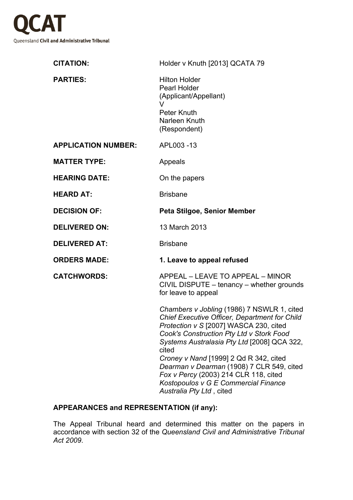

| <b>CITATION:</b>           | Holder v Knuth [2013] QCATA 79                                                                                                                                                                                                                                                                                                                                                                                                                              |
|----------------------------|-------------------------------------------------------------------------------------------------------------------------------------------------------------------------------------------------------------------------------------------------------------------------------------------------------------------------------------------------------------------------------------------------------------------------------------------------------------|
| <b>PARTIES:</b>            | <b>Hilton Holder</b><br><b>Pearl Holder</b><br>(Applicant/Appellant)<br>v<br>Peter Knuth<br>Narleen Knuth<br>(Respondent)                                                                                                                                                                                                                                                                                                                                   |
| <b>APPLICATION NUMBER:</b> | APL003-13                                                                                                                                                                                                                                                                                                                                                                                                                                                   |
| <b>MATTER TYPE:</b>        | Appeals                                                                                                                                                                                                                                                                                                                                                                                                                                                     |
| <b>HEARING DATE:</b>       | On the papers                                                                                                                                                                                                                                                                                                                                                                                                                                               |
| <b>HEARD AT:</b>           | <b>Brisbane</b>                                                                                                                                                                                                                                                                                                                                                                                                                                             |
| <b>DECISION OF:</b>        | Peta Stilgoe, Senior Member                                                                                                                                                                                                                                                                                                                                                                                                                                 |
| <b>DELIVERED ON:</b>       | 13 March 2013                                                                                                                                                                                                                                                                                                                                                                                                                                               |
| <b>DELIVERED AT:</b>       | <b>Brisbane</b>                                                                                                                                                                                                                                                                                                                                                                                                                                             |
| <b>ORDERS MADE:</b>        | 1. Leave to appeal refused                                                                                                                                                                                                                                                                                                                                                                                                                                  |
| <b>CATCHWORDS:</b>         | APPEAL - LEAVE TO APPEAL - MINOR<br>CIVIL DISPUTE - tenancy - whether grounds<br>for leave to appeal                                                                                                                                                                                                                                                                                                                                                        |
|                            | Chambers v Jobling (1986) 7 NSWLR 1, cited<br><b>Chief Executive Officer, Department for Child</b><br><i>Protection v S</i> [2007] WASCA 230, cited<br>Cook's Construction Pty Ltd v Stork Food<br>Systems Australasia Pty Ltd [2008] QCA 322,<br>cited<br>Croney v Nand [1999] 2 Qd R 342, cited<br>Dearman v Dearman (1908) 7 CLR 549, cited<br>Fox v Percy (2003) 214 CLR 118, cited<br>Kostopoulos v G E Commercial Finance<br>Australia Pty Ltd, cited |

## **APPEARANCES and REPRESENTATION (if any):**

The Appeal Tribunal heard and determined this matter on the papers in accordance with section 32 of the *Queensland Civil and Administrative Tribunal Act 2009*.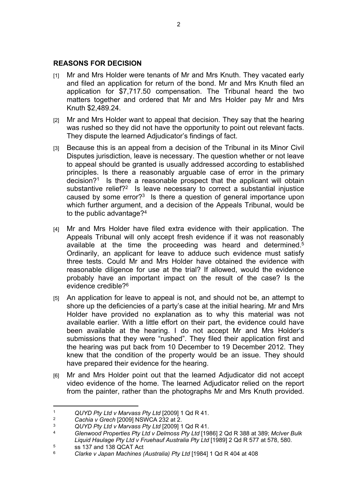## **REASONS FOR DECISION**

- [1] Mr and Mrs Holder were tenants of Mr and Mrs Knuth. They vacated early and filed an application for return of the bond. Mr and Mrs Knuth filed an application for \$7,717.50 compensation. The Tribunal heard the two matters together and ordered that Mr and Mrs Holder pay Mr and Mrs Knuth \$2,489.24.
- [2] Mr and Mrs Holder want to appeal that decision. They say that the hearing was rushed so they did not have the opportunity to point out relevant facts. They dispute the learned Adjudicator's findings of fact.
- [3] Because this is an appeal from a decision of the Tribunal in its Minor Civil Disputes jurisdiction, leave is necessary. The question whether or not leave to appeal should be granted is usually addressed according to established principles. Is there a reasonably arguable case of error in the primary decision?<sup>1</sup> Is there a reasonable prospect that the applicant will obtain substantive relief?<sup>2</sup> Is leave necessary to correct a substantial injustice caused by some error? $3$  Is there a question of general importance upon which further argument, and a decision of the Appeals Tribunal, would be to the public advantage?<sup>4</sup>
- [4] Mr and Mrs Holder have filed extra evidence with their application. The Appeals Tribunal will only accept fresh evidence if it was not reasonably available at the time the proceeding was heard and determined.<sup>5</sup> Ordinarily, an applicant for leave to adduce such evidence must satisfy three tests. Could Mr and Mrs Holder have obtained the evidence with reasonable diligence for use at the trial? If allowed, would the evidence probably have an important impact on the result of the case? Is the evidence credible?<sup>6</sup>
- [5] An application for leave to appeal is not, and should not be, an attempt to shore up the deficiencies of a party's case at the initial hearing. Mr and Mrs Holder have provided no explanation as to why this material was not available earlier. With a little effort on their part, the evidence could have been available at the hearing. I do not accept Mr and Mrs Holder's submissions that they were "rushed". They filed their application first and the hearing was put back from 10 December to 19 December 2012. They knew that the condition of the property would be an issue. They should have prepared their evidence for the hearing.
- [6] Mr and Mrs Holder point out that the learned Adjudicator did not accept video evidence of the home. The learned Adjudicator relied on the report from the painter, rather than the photographs Mr and Mrs Knuth provided.

<sup>1</sup> *QUYD Pty Ltd v Marvass Pty Ltd* [2009] 1 Qd R 41.

<sup>&</sup>lt;sup>2</sup> *Cachia v Grech* [2009] NSWCA 232 at 2.<br><sup>3</sup> *CUVD Ptu Ltd v Manges Ptu Ltd* [2000] 1

<sup>3</sup> *QUYD Pty Ltd v Marvass Pty Ltd* [2009] 1 Qd R 41.

<sup>4</sup> *Glenwood Properties Pty Ltd v Delmoss Pty Ltd* [1986] 2 Qd R 388 at 389; *McIver Bulk Liquid Haulage Pty Ltd v Fruehauf Australia Pty Ltd* [1989] 2 Qd R 577 at 578, 580. 5

 $5$  ss 137 and 138 QCAT Act

<sup>6</sup> *Clarke v Japan Machines (Australia) Pty Ltd* [1984] 1 Qd R 404 at 408